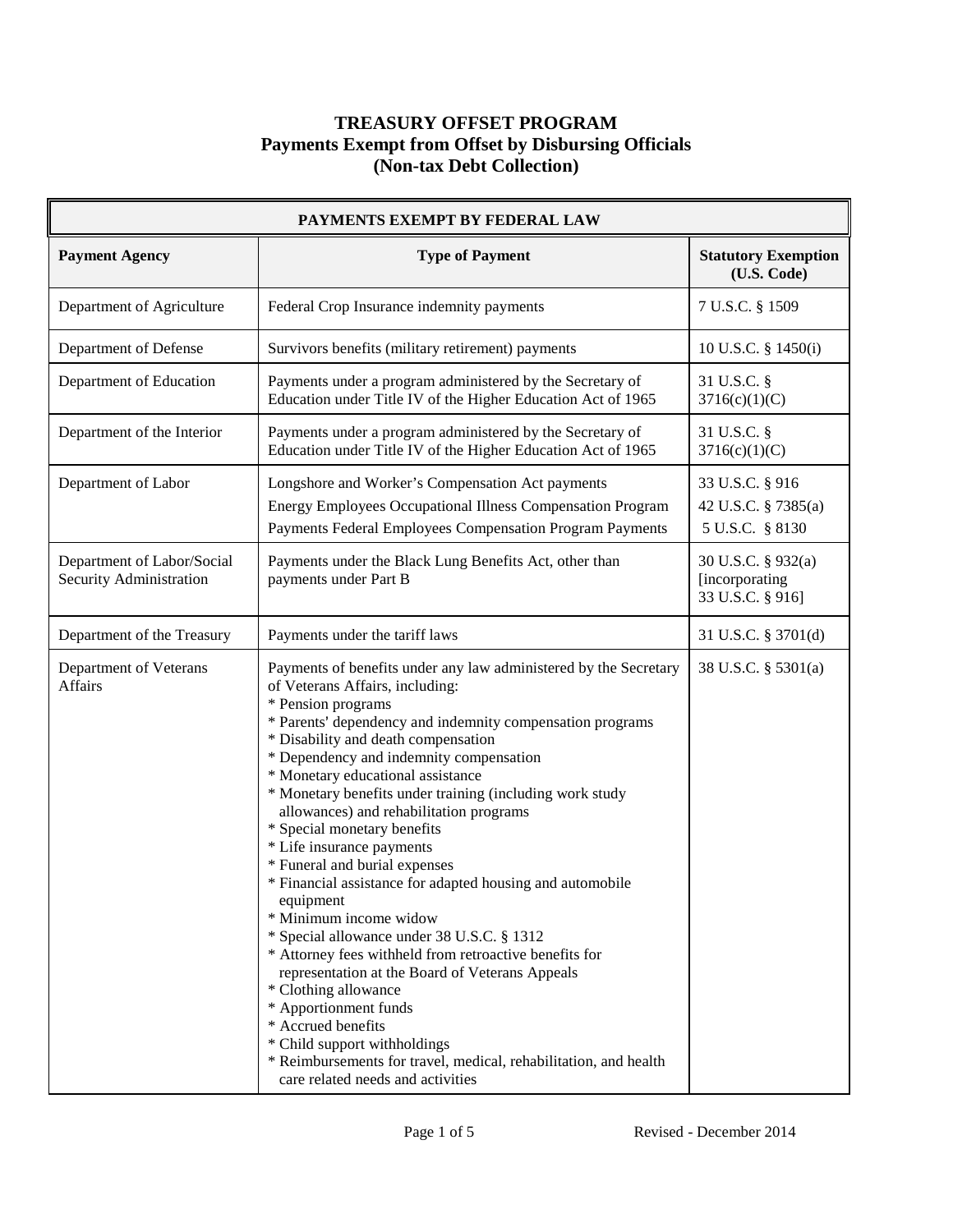| PAYMENTS EXEMPT BY FEDERAL LAW                        |                                                                                                                                                                                                                                                                                                                                                                                                                                                                                                                                                                                                                                                                                                                                                                                                                                                                                                                                                                                                  |                                                           |
|-------------------------------------------------------|--------------------------------------------------------------------------------------------------------------------------------------------------------------------------------------------------------------------------------------------------------------------------------------------------------------------------------------------------------------------------------------------------------------------------------------------------------------------------------------------------------------------------------------------------------------------------------------------------------------------------------------------------------------------------------------------------------------------------------------------------------------------------------------------------------------------------------------------------------------------------------------------------------------------------------------------------------------------------------------------------|-----------------------------------------------------------|
| <b>Payment Agency</b>                                 | <b>Type of Payment</b>                                                                                                                                                                                                                                                                                                                                                                                                                                                                                                                                                                                                                                                                                                                                                                                                                                                                                                                                                                           | <b>Statutory Exemption</b><br>(U.S. Code)                 |
| Department of Agriculture                             | Federal Crop Insurance indemnity payments                                                                                                                                                                                                                                                                                                                                                                                                                                                                                                                                                                                                                                                                                                                                                                                                                                                                                                                                                        | 7 U.S.C. § 1509                                           |
| Department of Defense                                 | Survivors benefits (military retirement) payments                                                                                                                                                                                                                                                                                                                                                                                                                                                                                                                                                                                                                                                                                                                                                                                                                                                                                                                                                | 10 U.S.C. § 1450(i)                                       |
| Department of Education                               | Payments under a program administered by the Secretary of<br>Education under Title IV of the Higher Education Act of 1965                                                                                                                                                                                                                                                                                                                                                                                                                                                                                                                                                                                                                                                                                                                                                                                                                                                                        | 31 U.S.C. §<br>3716(c)(1)(C)                              |
| Department of the Interior                            | Payments under a program administered by the Secretary of<br>Education under Title IV of the Higher Education Act of 1965                                                                                                                                                                                                                                                                                                                                                                                                                                                                                                                                                                                                                                                                                                                                                                                                                                                                        | 31 U.S.C. §<br>3716(c)(1)(C)                              |
| Department of Labor                                   | Longshore and Worker's Compensation Act payments<br><b>Energy Employees Occupational Illness Compensation Program</b><br>Payments Federal Employees Compensation Program Payments                                                                                                                                                                                                                                                                                                                                                                                                                                                                                                                                                                                                                                                                                                                                                                                                                | 33 U.S.C. § 916<br>42 U.S.C. § 7385(a)<br>5 U.S.C. § 8130 |
| Department of Labor/Social<br>Security Administration | Payments under the Black Lung Benefits Act, other than<br>payments under Part B                                                                                                                                                                                                                                                                                                                                                                                                                                                                                                                                                                                                                                                                                                                                                                                                                                                                                                                  | 30 U.S.C. § 932(a)<br>[incorporating]<br>33 U.S.C. § 916] |
| Department of the Treasury                            | Payments under the tariff laws                                                                                                                                                                                                                                                                                                                                                                                                                                                                                                                                                                                                                                                                                                                                                                                                                                                                                                                                                                   | 31 U.S.C. § 3701(d)                                       |
| Department of Veterans<br><b>Affairs</b>              | Payments of benefits under any law administered by the Secretary<br>of Veterans Affairs, including:<br>* Pension programs<br>* Parents' dependency and indemnity compensation programs<br>* Disability and death compensation<br>* Dependency and indemnity compensation<br>* Monetary educational assistance<br>* Monetary benefits under training (including work study<br>allowances) and rehabilitation programs<br>* Special monetary benefits<br>* Life insurance payments<br>* Funeral and burial expenses<br>* Financial assistance for adapted housing and automobile<br>equipment<br>* Minimum income widow<br>* Special allowance under 38 U.S.C. § 1312<br>* Attorney fees withheld from retroactive benefits for<br>representation at the Board of Veterans Appeals<br>* Clothing allowance<br>* Apportionment funds<br>* Accrued benefits<br>* Child support withholdings<br>* Reimbursements for travel, medical, rehabilitation, and health<br>care related needs and activities | 38 U.S.C. § 5301(a)                                       |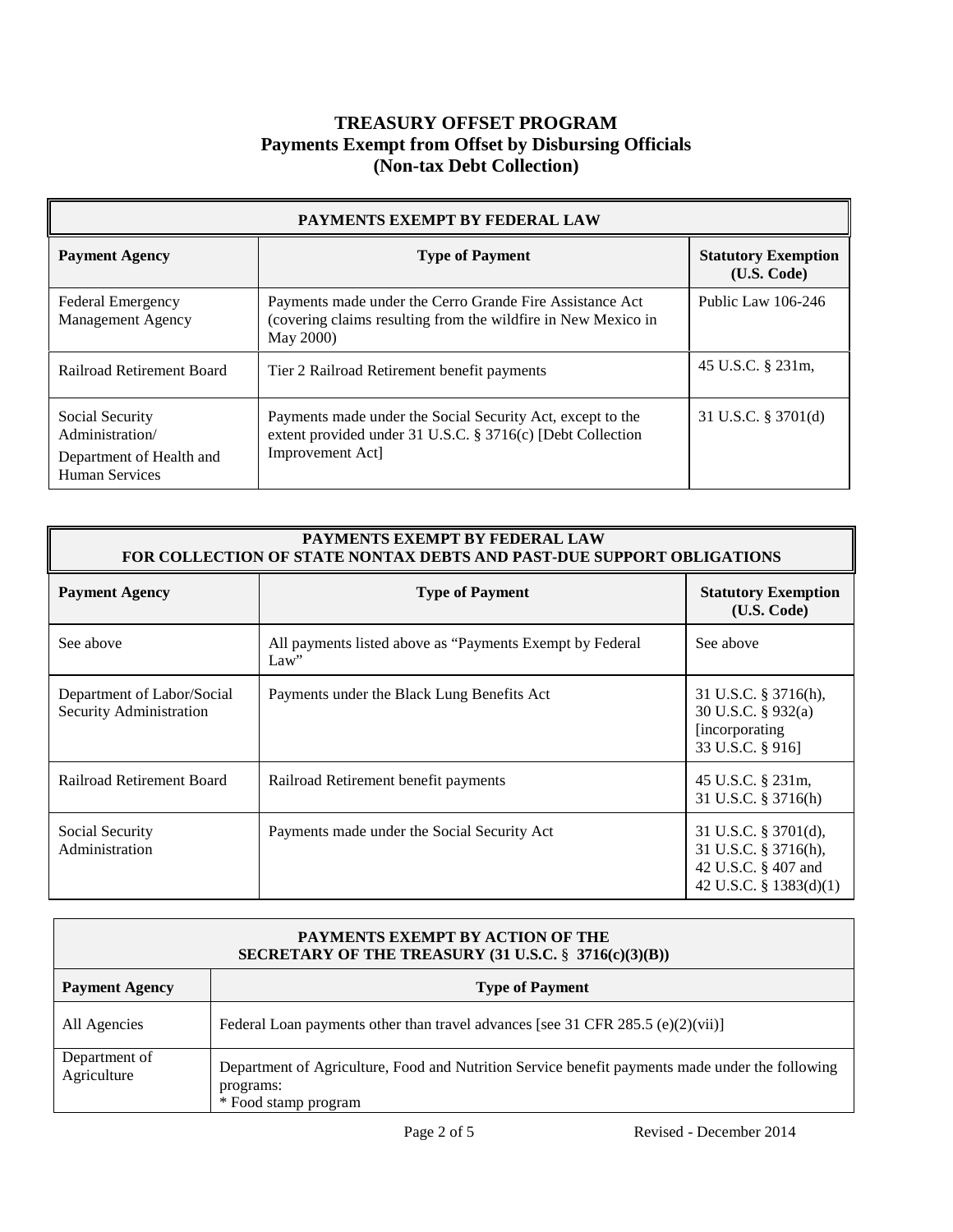| PAYMENTS EXEMPT BY FEDERAL LAW                                                   |                                                                                                                                              |                                           |
|----------------------------------------------------------------------------------|----------------------------------------------------------------------------------------------------------------------------------------------|-------------------------------------------|
| <b>Payment Agency</b>                                                            | <b>Type of Payment</b>                                                                                                                       | <b>Statutory Exemption</b><br>(U.S. Code) |
| Federal Emergency<br><b>Management Agency</b>                                    | Payments made under the Cerro Grande Fire Assistance Act<br>(covering claims resulting from the wildfire in New Mexico in<br>May 2000)       | Public Law 106-246                        |
| Railroad Retirement Board                                                        | Tier 2 Railroad Retirement benefit payments                                                                                                  | 45 U.S.C. § 231m,                         |
| Social Security<br>Administration/<br>Department of Health and<br>Human Services | Payments made under the Social Security Act, except to the<br>extent provided under 31 U.S.C. § 3716(c) [Debt Collection<br>Improvement Act] | 31 U.S.C. $\S$ 3701(d)                    |

| <b>PAYMENTS EXEMPT BY FEDERAL LAW</b><br><b>FOR COLLECTION OF STATE NONTAX DEBTS AND PAST-DUE SUPPORT OBLIGATIONS</b> |                                                                    |                                                                                                  |
|-----------------------------------------------------------------------------------------------------------------------|--------------------------------------------------------------------|--------------------------------------------------------------------------------------------------|
| <b>Payment Agency</b>                                                                                                 | <b>Type of Payment</b>                                             | <b>Statutory Exemption</b><br>(U.S. Code)                                                        |
| See above                                                                                                             | All payments listed above as "Payments Exempt by Federal"<br>Law'' | See above                                                                                        |
| Department of Labor/Social<br>Security Administration                                                                 | Payments under the Black Lung Benefits Act                         | 31 U.S.C. § 3716(h),<br>30 U.S.C. § 932(a)<br><i>l</i> incorporating<br>33 U.S.C. § 916]         |
| Railroad Retirement Board                                                                                             | Railroad Retirement benefit payments                               | 45 U.S.C. § 231m,<br>31 U.S.C. § 3716(h)                                                         |
| Social Security<br>Administration                                                                                     | Payments made under the Social Security Act                        | 31 U.S.C. $\S$ 3701(d),<br>31 U.S.C. § 3716(h),<br>42 U.S.C. § 407 and<br>42 U.S.C. § 1383(d)(1) |

| <b>PAYMENTS EXEMPT BY ACTION OF THE</b><br>SECRETARY OF THE TREASURY $(31 \text{ U.S.C.} \frac{8}{3} \cdot 3716(c)(3)(B))$ |                                                                                                                                      |
|----------------------------------------------------------------------------------------------------------------------------|--------------------------------------------------------------------------------------------------------------------------------------|
| <b>Payment Agency</b>                                                                                                      | <b>Type of Payment</b>                                                                                                               |
| All Agencies                                                                                                               | Federal Loan payments other than travel advances [see 31 CFR 285.5 (e)(2)(vii)]                                                      |
| Department of<br>Agriculture                                                                                               | Department of Agriculture, Food and Nutrition Service benefit payments made under the following<br>programs:<br>* Food stamp program |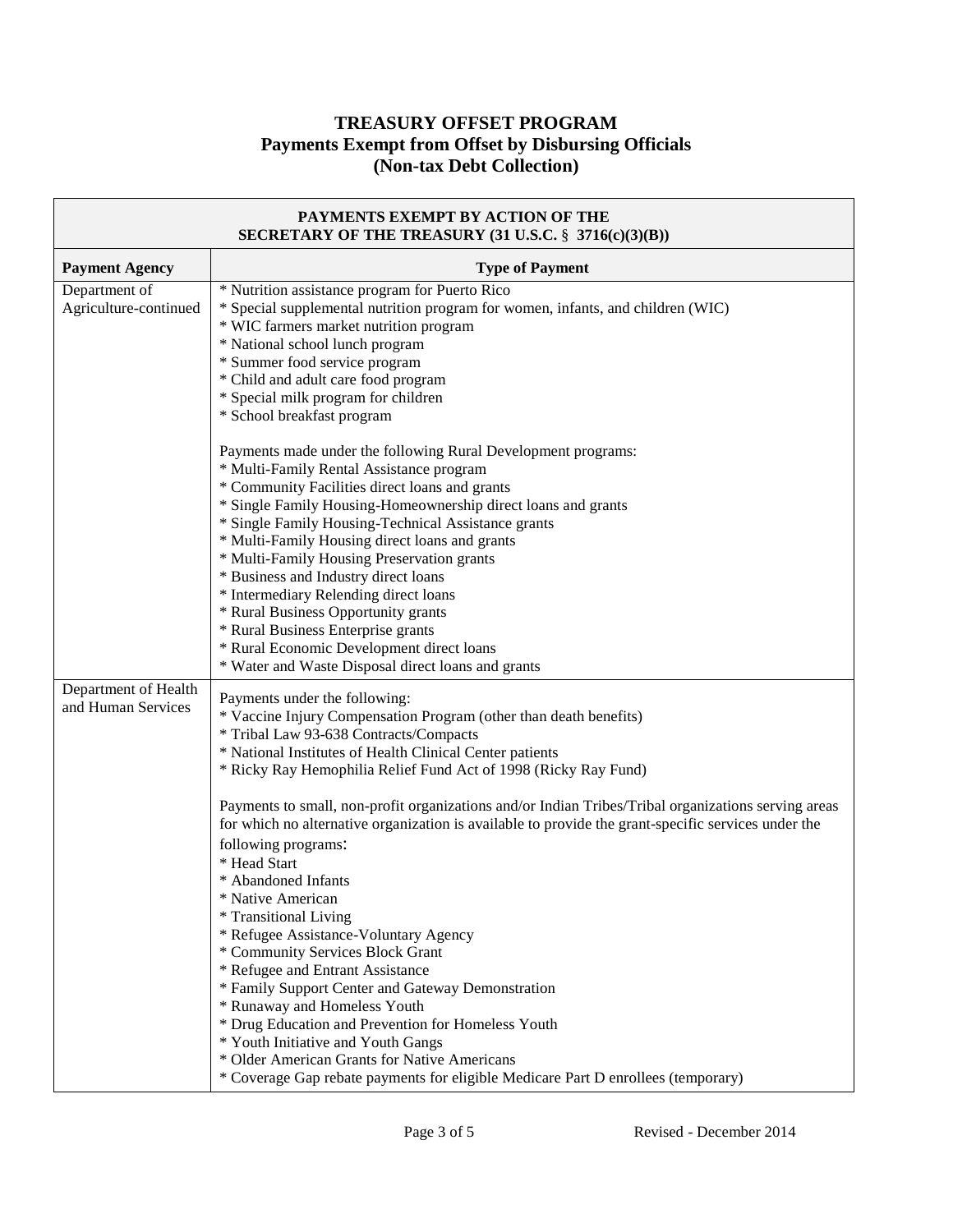| PAYMENTS EXEMPT BY ACTION OF THE<br>SECRETARY OF THE TREASURY (31 U.S.C. § 3716(c)(3)(B)) |                                                                                                                                                                                                                                                                                                                                                                                                                                                                                                                                                                                                                                                                                                                                                                                                                                                                                                                                                                                                                                              |
|-------------------------------------------------------------------------------------------|----------------------------------------------------------------------------------------------------------------------------------------------------------------------------------------------------------------------------------------------------------------------------------------------------------------------------------------------------------------------------------------------------------------------------------------------------------------------------------------------------------------------------------------------------------------------------------------------------------------------------------------------------------------------------------------------------------------------------------------------------------------------------------------------------------------------------------------------------------------------------------------------------------------------------------------------------------------------------------------------------------------------------------------------|
| <b>Payment Agency</b>                                                                     | <b>Type of Payment</b>                                                                                                                                                                                                                                                                                                                                                                                                                                                                                                                                                                                                                                                                                                                                                                                                                                                                                                                                                                                                                       |
| Department of<br>Agriculture-continued                                                    | * Nutrition assistance program for Puerto Rico<br>* Special supplemental nutrition program for women, infants, and children (WIC)<br>* WIC farmers market nutrition program<br>* National school lunch program<br>* Summer food service program<br>* Child and adult care food program<br>* Special milk program for children<br>* School breakfast program                                                                                                                                                                                                                                                                                                                                                                                                                                                                                                                                                                                                                                                                                  |
|                                                                                           | Payments made under the following Rural Development programs:<br>* Multi-Family Rental Assistance program<br>* Community Facilities direct loans and grants<br>* Single Family Housing-Homeownership direct loans and grants<br>* Single Family Housing-Technical Assistance grants<br>* Multi-Family Housing direct loans and grants<br>* Multi-Family Housing Preservation grants<br>* Business and Industry direct loans<br>* Intermediary Relending direct loans<br>* Rural Business Opportunity grants<br>* Rural Business Enterprise grants<br>* Rural Economic Development direct loans<br>* Water and Waste Disposal direct loans and grants                                                                                                                                                                                                                                                                                                                                                                                         |
| Department of Health<br>and Human Services                                                | Payments under the following:<br>* Vaccine Injury Compensation Program (other than death benefits)<br>* Tribal Law 93-638 Contracts/Compacts<br>* National Institutes of Health Clinical Center patients<br>* Ricky Ray Hemophilia Relief Fund Act of 1998 (Ricky Ray Fund)<br>Payments to small, non-profit organizations and/or Indian Tribes/Tribal organizations serving areas<br>for which no alternative organization is available to provide the grant-specific services under the<br>following programs:<br>* Head Start<br>* Abandoned Infants<br>* Native American<br>* Transitional Living<br>* Refugee Assistance-Voluntary Agency<br>* Community Services Block Grant<br>* Refugee and Entrant Assistance<br>* Family Support Center and Gateway Demonstration<br>* Runaway and Homeless Youth<br>* Drug Education and Prevention for Homeless Youth<br>* Youth Initiative and Youth Gangs<br>* Older American Grants for Native Americans<br>* Coverage Gap rebate payments for eligible Medicare Part D enrollees (temporary) |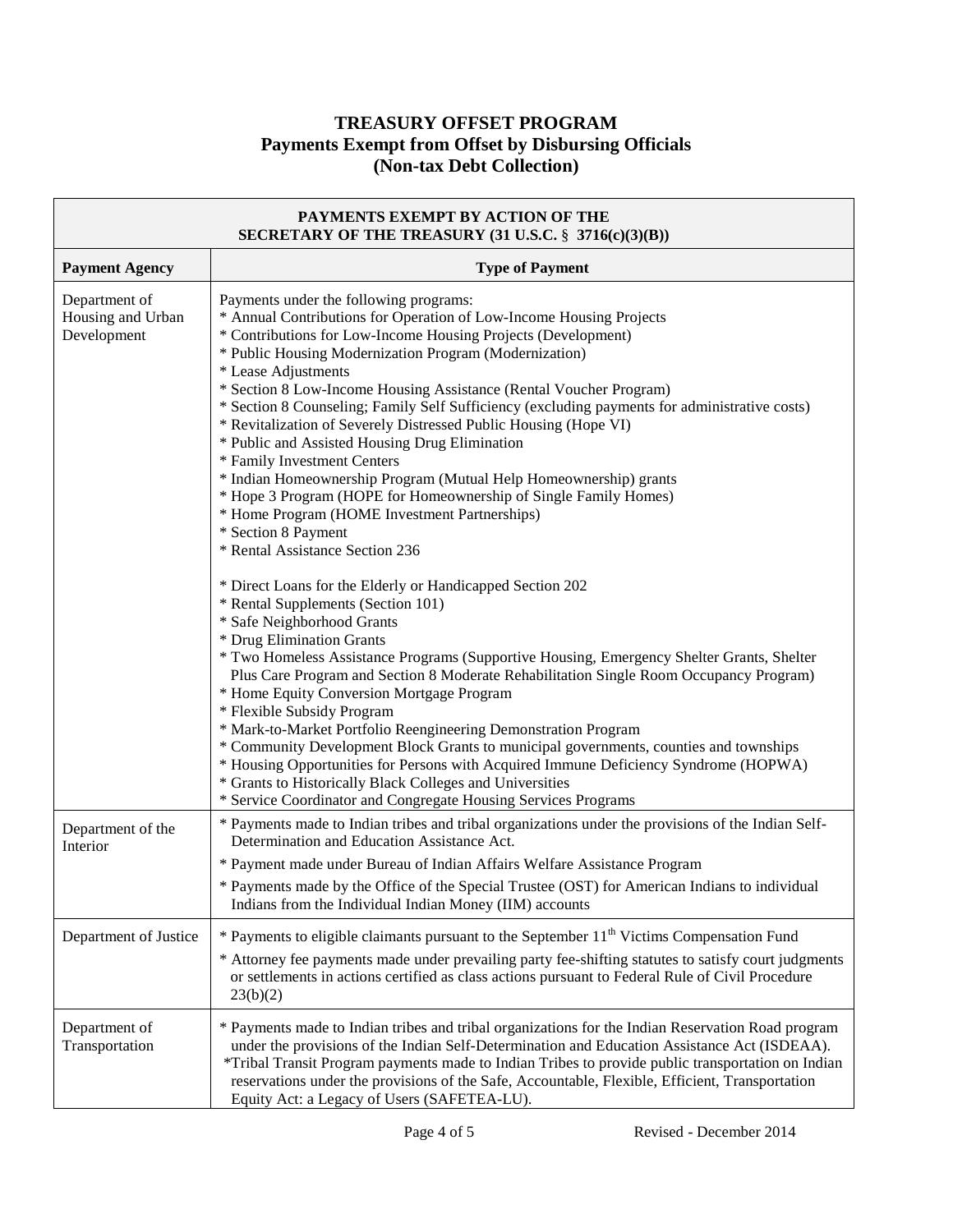| PAYMENTS EXEMPT BY ACTION OF THE<br>SECRETARY OF THE TREASURY (31 U.S.C. § 3716(c)(3)(B)) |                                                                                                                                                                                                                                                                                                                                                                                                                                                                                                                                                                                                                                                                                                                                                                                                                                                                                                                                                                                                                                                                                                                                                                                                                                                                                                                                                                                                                                                                                                                                                                                                                                                                  |
|-------------------------------------------------------------------------------------------|------------------------------------------------------------------------------------------------------------------------------------------------------------------------------------------------------------------------------------------------------------------------------------------------------------------------------------------------------------------------------------------------------------------------------------------------------------------------------------------------------------------------------------------------------------------------------------------------------------------------------------------------------------------------------------------------------------------------------------------------------------------------------------------------------------------------------------------------------------------------------------------------------------------------------------------------------------------------------------------------------------------------------------------------------------------------------------------------------------------------------------------------------------------------------------------------------------------------------------------------------------------------------------------------------------------------------------------------------------------------------------------------------------------------------------------------------------------------------------------------------------------------------------------------------------------------------------------------------------------------------------------------------------------|
| <b>Payment Agency</b>                                                                     | <b>Type of Payment</b>                                                                                                                                                                                                                                                                                                                                                                                                                                                                                                                                                                                                                                                                                                                                                                                                                                                                                                                                                                                                                                                                                                                                                                                                                                                                                                                                                                                                                                                                                                                                                                                                                                           |
| Department of<br>Housing and Urban<br>Development                                         | Payments under the following programs:<br>* Annual Contributions for Operation of Low-Income Housing Projects<br>* Contributions for Low-Income Housing Projects (Development)<br>* Public Housing Modernization Program (Modernization)<br>* Lease Adjustments<br>* Section 8 Low-Income Housing Assistance (Rental Voucher Program)<br>* Section 8 Counseling; Family Self Sufficiency (excluding payments for administrative costs)<br>* Revitalization of Severely Distressed Public Housing (Hope VI)<br>* Public and Assisted Housing Drug Elimination<br>* Family Investment Centers<br>* Indian Homeownership Program (Mutual Help Homeownership) grants<br>* Hope 3 Program (HOPE for Homeownership of Single Family Homes)<br>* Home Program (HOME Investment Partnerships)<br>* Section 8 Payment<br>* Rental Assistance Section 236<br>* Direct Loans for the Elderly or Handicapped Section 202<br>* Rental Supplements (Section 101)<br>* Safe Neighborhood Grants<br>* Drug Elimination Grants<br>* Two Homeless Assistance Programs (Supportive Housing, Emergency Shelter Grants, Shelter<br>Plus Care Program and Section 8 Moderate Rehabilitation Single Room Occupancy Program)<br>* Home Equity Conversion Mortgage Program<br>* Flexible Subsidy Program<br>* Mark-to-Market Portfolio Reengineering Demonstration Program<br>* Community Development Block Grants to municipal governments, counties and townships<br>* Housing Opportunities for Persons with Acquired Immune Deficiency Syndrome (HOPWA)<br>* Grants to Historically Black Colleges and Universities<br>* Service Coordinator and Congregate Housing Services Programs |
| Department of the<br>Interior                                                             | * Payments made to Indian tribes and tribal organizations under the provisions of the Indian Self-<br>Determination and Education Assistance Act.<br>* Payment made under Bureau of Indian Affairs Welfare Assistance Program<br>* Payments made by the Office of the Special Trustee (OST) for American Indians to individual<br>Indians from the Individual Indian Money (IIM) accounts                                                                                                                                                                                                                                                                                                                                                                                                                                                                                                                                                                                                                                                                                                                                                                                                                                                                                                                                                                                                                                                                                                                                                                                                                                                                        |
| Department of Justice                                                                     | * Payments to eligible claimants pursuant to the September 11 <sup>th</sup> Victims Compensation Fund<br>* Attorney fee payments made under prevailing party fee-shifting statutes to satisfy court judgments<br>or settlements in actions certified as class actions pursuant to Federal Rule of Civil Procedure<br>23(b)(2)                                                                                                                                                                                                                                                                                                                                                                                                                                                                                                                                                                                                                                                                                                                                                                                                                                                                                                                                                                                                                                                                                                                                                                                                                                                                                                                                    |
| Department of<br>Transportation                                                           | * Payments made to Indian tribes and tribal organizations for the Indian Reservation Road program<br>under the provisions of the Indian Self-Determination and Education Assistance Act (ISDEAA).<br>*Tribal Transit Program payments made to Indian Tribes to provide public transportation on Indian<br>reservations under the provisions of the Safe, Accountable, Flexible, Efficient, Transportation<br>Equity Act: a Legacy of Users (SAFETEA-LU).                                                                                                                                                                                                                                                                                                                                                                                                                                                                                                                                                                                                                                                                                                                                                                                                                                                                                                                                                                                                                                                                                                                                                                                                         |